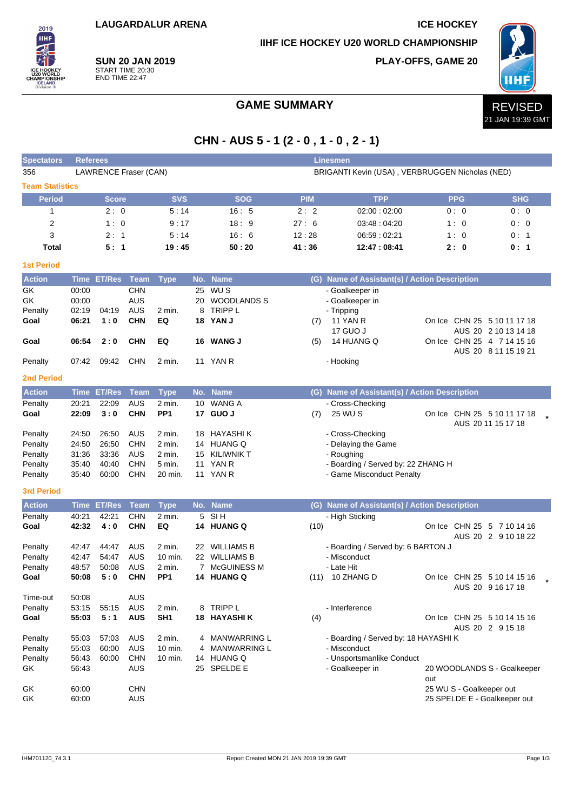**LAUGARDALUR ARENA ICE HOCKEY**

**IIHF ICE HOCKEY U20 WORLD CHAMPIONSHIP**

**PLAY-OFFS, GAME 20**



**SUN 20 JAN 2019** START TIME 20:30 END TIME 22:47

2019 **IIHF** 

## GAME SUMMARY **REVISED**

# **CHN - AUS 5 - 1 (2 - 0 , 1 - 0 , 2 - 1)**

| <b>Spectators</b>      |                                                                          | <b>Linesmen</b><br><b>Referees</b> |                   |                           |     |                             |            |                                               |     |                          |                                                   |  |
|------------------------|--------------------------------------------------------------------------|------------------------------------|-------------------|---------------------------|-----|-----------------------------|------------|-----------------------------------------------|-----|--------------------------|---------------------------------------------------|--|
| 356                    | LAWRENCE Fraser (CAN)<br>BRIGANTI Kevin (USA), VERBRUGGEN Nicholas (NED) |                                    |                   |                           |     |                             |            |                                               |     |                          |                                                   |  |
| <b>Team Statistics</b> |                                                                          |                                    |                   |                           |     |                             |            |                                               |     |                          |                                                   |  |
| <b>Period</b>          |                                                                          | Score                              |                   | <b>SVS</b>                |     | <b>SOG</b>                  | <b>PIM</b> | <b>TPP</b>                                    |     | <b>PPG</b>               | <b>SHG</b>                                        |  |
| 1                      |                                                                          | 2:0                                |                   | 5:14                      |     | 16:5                        | 2:2        | 02:00:02:00                                   |     | 0:0                      | 0:0                                               |  |
| 2                      |                                                                          | 1:0                                |                   | 9:17                      |     | 18:9                        | 27:6       | 03:48:04:20                                   |     | 1:0                      | 0:0                                               |  |
| 3                      |                                                                          | 2:1                                |                   | 5:14                      |     | 16:6                        | 12:28      | 06:59 : 02:21                                 |     | 1:0                      | 0:1                                               |  |
| <b>Total</b>           |                                                                          | 5: 1                               |                   | 19:45                     |     | 50:20                       | 41:36      | 12:47:08:41                                   |     | 2:0                      | 0:1                                               |  |
| <b>1st Period</b>      |                                                                          |                                    |                   |                           |     |                             |            |                                               |     |                          |                                                   |  |
| <b>Action</b>          |                                                                          | <b>Time ET/Res</b>                 | <b>Team</b>       | <b>Type</b>               | No. | <b>Name</b>                 |            | (G) Name of Assistant(s) / Action Description |     |                          |                                                   |  |
| GK                     | 00:00                                                                    |                                    | <b>CHN</b>        |                           | 25  | WU S                        |            | - Goalkeeper in                               |     |                          |                                                   |  |
| GK                     | 00:00                                                                    |                                    | AUS               |                           |     | 20 WOODLANDS S              |            | - Goalkeeper in                               |     |                          |                                                   |  |
| Penalty                | 02:19                                                                    | 04:19                              | AUS               | 2 min.                    | 8   | <b>TRIPP L</b>              |            | - Tripping                                    |     |                          |                                                   |  |
| Goal                   | 06:21                                                                    | 1:0                                | <b>CHN</b>        | EQ                        |     | 18 YAN J                    | (7)        | 11 YAN R                                      |     |                          | On Ice CHN 25 5 10 11 17 18                       |  |
|                        |                                                                          |                                    |                   |                           |     |                             |            | 17 GUO J                                      |     |                          | AUS 20 2 10 13 14 18                              |  |
| Goal                   | 06:54                                                                    | 2:0                                | <b>CHN</b>        | EQ                        |     | 16 WANG J                   | (5)        | 14 HUANG Q                                    |     |                          | On Ice CHN 25 4 7 14 15 16                        |  |
|                        |                                                                          |                                    |                   |                           |     |                             |            |                                               |     |                          | AUS 20 8 11 15 19 21                              |  |
| Penalty                | 07:42                                                                    | 09:42                              | <b>CHN</b>        | 2 min.                    |     | 11 YAN R                    |            | - Hooking                                     |     |                          |                                                   |  |
| <b>2nd Period</b>      |                                                                          |                                    |                   |                           |     |                             |            |                                               |     |                          |                                                   |  |
| <b>Action</b>          | <b>Time</b>                                                              | <b>ET/Res</b>                      | <b>Team</b>       | <b>Type</b>               |     | No. Name                    |            | (G) Name of Assistant(s) / Action Description |     |                          |                                                   |  |
| Penalty                | 20:21                                                                    | 22:09                              | <b>AUS</b>        | 2 min.                    |     | 10 WANG A                   |            | - Cross-Checking                              |     |                          |                                                   |  |
| Goal                   | 22:09                                                                    | 3:0                                | <b>CHN</b>        | PP <sub>1</sub>           |     | 17 GUO J                    | (7)        | 25 WU S                                       |     |                          | On Ice CHN 25 5 10 11 17 18<br>AUS 20 11 15 17 18 |  |
| Penalty                | 24:50                                                                    | 26:50                              | AUS               | 2 min.                    |     | 18 HAYASHI K                |            | - Cross-Checking                              |     |                          |                                                   |  |
| Penalty                | 24:50                                                                    | 26:50                              | <b>CHN</b>        | 2 min.                    |     | 14 HUANG Q                  |            | - Delaying the Game                           |     |                          |                                                   |  |
| Penalty                | 31:36                                                                    | 33:36                              | AUS               | 2 min.                    | 15  | <b>KILIWNIK T</b>           |            | - Roughing                                    |     |                          |                                                   |  |
| Penalty                | 35:40                                                                    | 40:40                              | <b>CHN</b>        | 5 min.                    |     | 11 YAN R                    |            | - Boarding / Served by: 22 ZHANG H            |     |                          |                                                   |  |
| Penalty                | 35:40                                                                    | 60:00                              | CHN               | 20 min.                   |     | 11 YAN R                    |            | - Game Misconduct Penalty                     |     |                          |                                                   |  |
| <b>3rd Period</b>      |                                                                          |                                    |                   |                           |     |                             |            |                                               |     |                          |                                                   |  |
| <b>Action</b>          | <b>Time</b>                                                              | <b>ET/Res</b>                      | <b>Team</b>       | <b>Type</b>               | No. | <b>Name</b>                 | (G)        | Name of Assistant(s) / Action Description     |     |                          |                                                   |  |
| Penalty                | 40:21                                                                    | 42:21                              | <b>CHN</b>        | 2 min.                    | 5   | SI <sub>H</sub>             |            | - High Sticking                               |     |                          |                                                   |  |
| Goal                   | 42:32                                                                    | 4:0                                | <b>CHN</b>        | EQ                        |     | 14 HUANG Q                  | (10)       |                                               |     |                          | On Ice CHN 25 5 7 10 14 16                        |  |
|                        |                                                                          |                                    |                   |                           |     |                             |            |                                               |     |                          | AUS 20 2 9 10 18 22                               |  |
| Penalty                | 42:47                                                                    | 44:47                              | AUS               | 2 min.                    | 22  | <b>WILLIAMS B</b>           |            | - Boarding / Served by: 6 BARTON J            |     |                          |                                                   |  |
| Penalty                | 42:47                                                                    | 54:47                              | <b>AUS</b>        | 10 min.                   |     | 22 WILLIAMS B               |            | - Misconduct                                  |     |                          |                                                   |  |
| Penalty                | 48:57<br>50:08                                                           | 50:08<br>5:0                       | AUS<br><b>CHN</b> | 2 min.<br>PP <sub>1</sub> |     | 7 McGUINESS M<br>14 HUANG Q |            | - Late Hit<br>(11) 10 ZHANG D                 |     |                          | On Ice CHN 25 5 10 14 15 16                       |  |
| Goal                   |                                                                          |                                    |                   |                           |     |                             |            |                                               |     |                          | AUS 20 9 16 17 18                                 |  |
| Time-out               | 50:08                                                                    |                                    | AUS               |                           |     |                             |            |                                               |     |                          |                                                   |  |
| Penalty                | 53:15                                                                    | 55:15                              | AUS               | 2 min.                    |     | 8 TRIPP L                   |            | - Interference                                |     |                          |                                                   |  |
| Goal                   | 55:03                                                                    | 5:1                                | <b>AUS</b>        | SH <sub>1</sub>           |     | <b>18 HAYASHIK</b>          | (4)        |                                               |     |                          | On Ice CHN 25 5 10 14 15 16                       |  |
|                        |                                                                          |                                    |                   |                           |     |                             |            |                                               |     |                          | AUS 20 2 9 15 18                                  |  |
| Penalty                | 55:03                                                                    | 57:03                              | AUS               | 2 min.                    | 4   | MANWARRING L                |            | - Boarding / Served by: 18 HAYASHI K          |     |                          |                                                   |  |
| Penalty                | 55:03                                                                    | 60:00                              | <b>AUS</b>        | 10 min.                   |     | <b>MANWARRING L</b>         |            | - Misconduct                                  |     |                          |                                                   |  |
| Penalty                | 56:43                                                                    | 60:00                              | <b>CHN</b>        | 10 min.                   |     | 14 HUANG Q                  |            | - Unsportsmanlike Conduct                     |     |                          |                                                   |  |
| GK                     | 56:43                                                                    |                                    | <b>AUS</b>        |                           |     | 25 SPELDE E                 |            | - Goalkeeper in                               | out |                          | 20 WOODLANDS S - Goalkeeper                       |  |
| GK                     | 60:00                                                                    |                                    | <b>CHN</b>        |                           |     |                             |            |                                               |     | 25 WU S - Goalkeeper out |                                                   |  |
| GK                     | 60:00                                                                    |                                    | AUS               |                           |     |                             |            |                                               |     |                          | 25 SPELDE E - Goalkeeper out                      |  |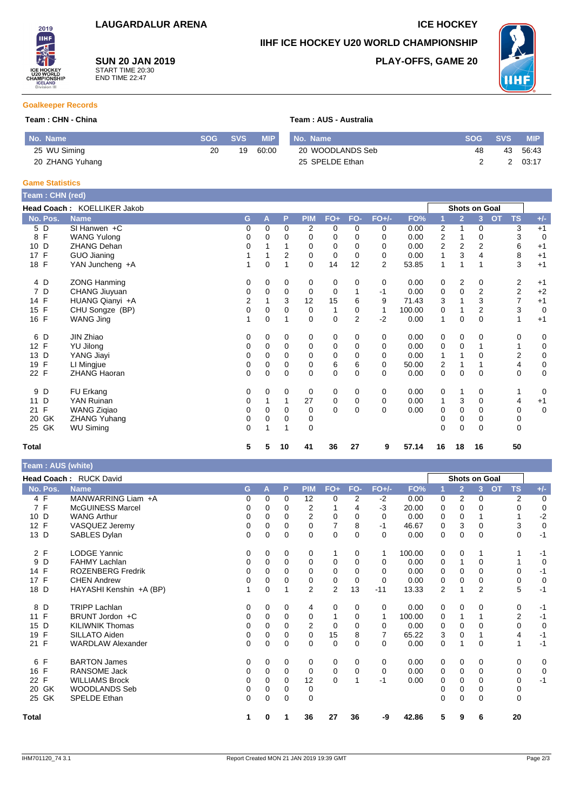**SUN 20 JAN 2019** START TIME 20:30 END TIME 22:47

## **IIHF ICE HOCKEY U20 WORLD CHAMPIONSHIP**

**PLAY-OFFS, GAME 20**



### **Goalkeeper Records**

2019 **IIHF** 

#### **Team : CHN - China Team : AUS - Australia**

| No. Name        |    | SOG SVS | <b>MIP</b> | No. Name         | SOG SVS | <b>MIP</b> |
|-----------------|----|---------|------------|------------------|---------|------------|
| 25 WU Siming    | 20 | 19      | 60:00      | 20 WOODLANDS Seb | 48      | 43 56:43   |
| 20 ZHANG Yuhang |    |         |            | 25 SPELDE Ethan  |         | 03:17      |

#### **Game Statistics**

| Team : CHN (red)   |                             |   |             |          |                |             |                |                |        |                |                |                |                        |             |
|--------------------|-----------------------------|---|-------------|----------|----------------|-------------|----------------|----------------|--------|----------------|----------------|----------------|------------------------|-------------|
|                    | Head Coach: KOELLIKER Jakob |   |             |          |                |             |                |                |        |                |                | Shots on Goal  |                        |             |
| No. Pos.           | <b>Name</b>                 | G | A           | P        | <b>PIM</b>     | $FO+$       | FO-            | $FO+/-$        | FO%    |                | $\overline{2}$ | 3              | <b>TS</b><br><b>OT</b> | $+/-$       |
| 5 D                | $SI$ Hanwen +C              | 0 | 0           | 0        | $\overline{2}$ | 0           | 0              | 0              | 0.00   | $\overline{2}$ |                | 0              | 3                      | $+1$        |
| 8 F                | <b>WANG Yulong</b>          | 0 | $\Omega$    | 0        | 0              | 0           | 0              | $\Omega$       | 0.00   | 2              |                | 0              | 3                      | 0           |
| 10 D               | <b>ZHANG Dehan</b>          | 0 |             |          | 0              | 0           | 0              | $\Omega$       | 0.00   | 2              | $\overline{2}$ | 2              | 6                      | $+1$        |
| $\mathsf{F}$<br>17 | GUO Jianing                 |   |             | 2        | 0              | 0           | 0              | 0              | 0.00   | 1              | 3              | 4              | 8                      | $+1$        |
| 18 F               | YAN Juncheng +A             | 1 | $\mathbf 0$ |          | $\Omega$       | 14          | 12             | $\overline{2}$ | 53.85  | $\mathbf{1}$   |                | 1              | 3                      | $+1$        |
| 4 D                | <b>ZONG Hanming</b>         | 0 | 0           | 0        | 0              | 0           | 0              | 0              | 0.00   | 0              | 2              | 0              | 2                      | $+1$        |
| 7 D                | CHANG Jiuyuan               | 0 | $\Omega$    | 0        | 0              | 0           |                | $-1$           | 0.00   | 0              | 0              | 2              | 2                      | $+2$        |
| 14 F               | HUANG Qianyi +A             | 2 |             | 3        | 12             | 15          | 6              | 9              | 71.43  | 3              |                | 3              | 7                      | $+1$        |
| 15 F               | CHU Songze (BP)             | 0 | 0           | $\Omega$ | 0              | 1           | 0              | 1              | 100.00 | 0              |                | $\overline{2}$ | 3                      | $\mathbf 0$ |
| 16 F               | WANG Jing                   |   | 0           |          | 0              | $\mathbf 0$ | $\overline{2}$ | $-2$           | 0.00   | 1              | 0              | 0              |                        | $+1$        |
| 6 D                | JIN Zhiao                   | 0 | 0           | 0        | 0              | 0           | 0              | 0              | 0.00   | 0              | 0              | 0              | 0                      | 0           |
| 12 F               | <b>YU Jilong</b>            | 0 | 0           | 0        | 0              | 0           | $\mathbf 0$    | 0              | 0.00   | 0              | $\mathbf 0$    |                |                        | 0           |
| 13 D               | YANG Jiayi                  | 0 | 0           | 0        | 0              | 0           | 0              | 0              | 0.00   | 1              |                | 0              | 2                      | $\pmb{0}$   |
| $\mathsf{F}$<br>19 | LI Mingjue                  | 0 | $\Omega$    | $\Omega$ | 0              | 6           | 6              | $\Omega$       | 50.00  | 2              |                |                | 4                      | $\mathbf 0$ |
| 22 F               | <b>ZHANG Haoran</b>         | 0 | 0           | 0        | 0              | $\mathbf 0$ | 0              | $\Omega$       | 0.00   | 0              | $\mathbf 0$    | 0              | 0                      | $\mathbf 0$ |
| D<br>9             | FU Erkang                   | 0 | 0           | 0        | 0              | 0           | 0              | 0              | 0.00   | 0              | 1              | 0              |                        | 0           |
| D<br>11            | YAN Ruinan                  | 0 |             |          | 27             | 0           | 0              | 0              | 0.00   | 1              | 3              | 0              | 4                      | $+1$        |
| F<br>21            | <b>WANG Zigiao</b>          | 0 | 0           | $\Omega$ | 0              | $\mathbf 0$ | 0              | $\Omega$       | 0.00   | 0              | 0              | 0              | 0                      | $\mathbf 0$ |
| GK<br>20           | <b>ZHANG Yuhang</b>         | 0 | 0           | 0        | 0              |             |                |                |        | 0              | 0              | 0              | 0                      |             |
| 25 GK              | <b>WU Siming</b>            | 0 |             |          | $\Omega$       |             |                |                |        | 0              | 0              | 0              | 0                      |             |
| <b>Total</b>       |                             | 5 | 5           | 10       | 41             | 36          | 27             | 9              | 57.14  | 16             | 18             | 16             | 50                     |             |

| Team: AUS (white)  |                          |          |          |             |                |                |          |              |        |   |                |                      |                        |             |
|--------------------|--------------------------|----------|----------|-------------|----------------|----------------|----------|--------------|--------|---|----------------|----------------------|------------------------|-------------|
|                    | Head Coach: RUCK David   |          |          |             |                |                |          |              |        |   |                | <b>Shots on Goal</b> |                        |             |
| No. Pos.           | <b>Name</b>              | G        | A        | P           | <b>PIM</b>     | $FO+$          | FO-      | <b>FO+/-</b> | FO%    |   | $\overline{2}$ | 3                    | <b>OT</b><br><b>TS</b> | $+/-$       |
| 4 F                | MANWARRING Liam +A       | 0        | $\Omega$ | $\Omega$    | 12             | 0              | 2        | $-2$         | 0.00   | 0 | 2              | 0                    | 2                      | 0           |
| 7F                 | <b>McGUINESS Marcel</b>  | 0        | $\Omega$ | $\Omega$    | 2              | 1              | 4        | $-3$         | 20.00  | 0 | $\Omega$       | 0                    | 0                      | $\mathbf 0$ |
| D<br>10            | <b>WANG Arthur</b>       | 0        | $\Omega$ | $\Omega$    | $\overline{2}$ | 0              | 0        | 0            | 0.00   | 0 | 0              | 1                    |                        | $-2$        |
| 12 F               | VASQUEZ Jeremy           | 0        | $\Omega$ | $\Omega$    | $\Omega$       |                | 8        | -1           | 46.67  | 0 | 3              | 0                    | 3                      | 0           |
| 13 D               | SABLES Dylan             | 0        | 0        | $\mathbf 0$ | 0              | 0              | 0        | $\Omega$     | 0.00   | 0 | 0              | 0                    | 0                      | $-1$        |
| 2 F                | <b>LODGE Yannic</b>      | 0        | 0        | 0           | 0              | 1              | 0        | 1            | 100.00 | 0 | 0              | 1                    |                        | $-1$        |
| 9<br>D             | <b>FAHMY Lachlan</b>     | $\Omega$ | $\Omega$ | $\Omega$    | $\mathbf 0$    | 0              | $\Omega$ | $\Omega$     | 0.00   | 0 |                | 0                    |                        | $\mathbf 0$ |
| F<br>14            | <b>ROZENBERG Fredrik</b> | $\Omega$ | $\Omega$ | 0           | $\Omega$       | $\Omega$       | $\Omega$ | $\Omega$     | 0.00   | 0 | 0              | 0                    | $\Omega$               | $-1$        |
| F<br>17            | <b>CHEN Andrew</b>       | 0        | 0        | $\Omega$    | 0              | 0              | 0        | 0            | 0.00   | 0 | 0              | 0                    | 0                      | $\mathbf 0$ |
| 18 D               | HAYASHI Kenshin +A (BP)  |          | $\Omega$ |             | $\overline{2}$ | $\overline{2}$ | 13       | $-11$        | 13.33  | 2 |                | $\overline{2}$       | 5                      | $-1$        |
| D<br>8             | <b>TRIPP Lachlan</b>     | 0        | 0        | 0           | 4              | 0              | 0        | 0            | 0.00   | 0 | 0              | 0                    | 0                      | $-1$        |
| F<br>11            | BRUNT Jordon +C          | 0        | $\Omega$ | $\Omega$    | 0              |                | $\Omega$ | $\mathbf{1}$ | 100.00 | 0 |                | 1                    | $\overline{2}$         | $-1$        |
| D<br>15            | <b>KILIWNIK Thomas</b>   | $\Omega$ | $\Omega$ | $\Omega$    | $\overline{2}$ | 0              | $\Omega$ | 0            | 0.00   | 0 | 0              | $\Omega$             | 0                      | 0           |
| F<br>19            | SILLATO Aiden            | 0        | $\Omega$ | $\Omega$    | $\Omega$       | 15             | 8        |              | 65.22  | 3 | 0              |                      | 4                      | $-1$        |
| 21 F               | <b>WARDLAW Alexander</b> | $\Omega$ | $\Omega$ | $\mathbf 0$ | $\Omega$       | 0              | $\Omega$ | $\Omega$     | 0.00   | 0 |                | 0                    | 1                      | $-1$        |
| F<br>6             | <b>BARTON James</b>      | 0        | 0        | 0           | 0              | 0              | 0        | 0            | 0.00   | 0 | 0              | 0                    | 0                      | 0           |
| F<br>16            | <b>RANSOME Jack</b>      | 0        | $\Omega$ | $\Omega$    | 0              | 0              | $\Omega$ | 0            | 0.00   | 0 | 0              | 0                    | 0                      | 0           |
| $\mathsf{F}$<br>22 | <b>WILLIAMS Brock</b>    | 0        | $\Omega$ | $\Omega$    | 12             | $\Omega$       |          | $-1$         | 0.00   | 0 | 0              | 0                    | 0                      | $-1$        |
| GK<br>20           | <b>WOODLANDS Seb</b>     | 0        | 0        | 0           | 0              |                |          |              |        | 0 | 0              | 0                    | 0                      |             |
| 25 GK              | <b>SPELDE Ethan</b>      | $\Omega$ | 0        | $\mathbf 0$ | 0              |                |          |              |        | 0 | 0              | $\Omega$             | 0                      |             |
| <b>Total</b>       |                          | 1        | 0        |             | 36             | 27             | 36       | -9           | 42.86  | 5 | 9              | 6                    | 20                     |             |